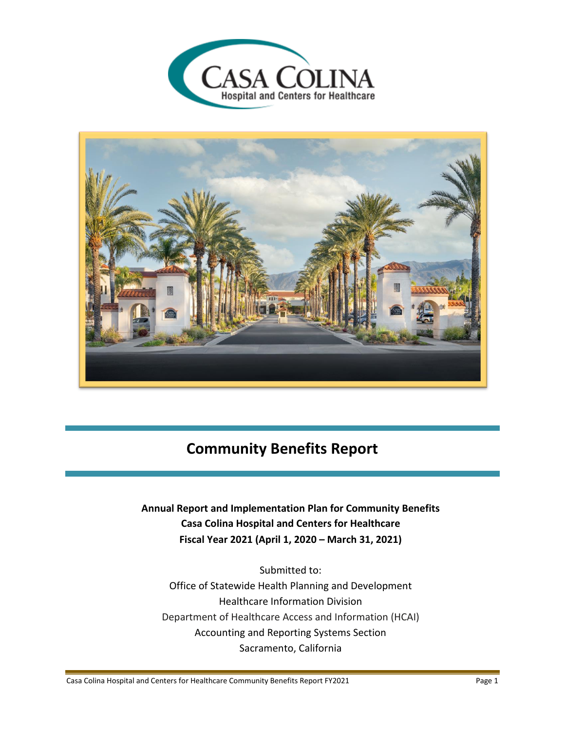



# **Community Benefits Report**

## **Annual Report and Implementation Plan for Community Benefits Casa Colina Hospital and Centers for Healthcare Fiscal Year 2021 (April 1, 2020 – March 31, 2021)**

Submitted to: Office of Statewide Health Planning and Development Healthcare Information Division Department of Healthcare Access and Information (HCAI) Accounting and Reporting Systems Section Sacramento, California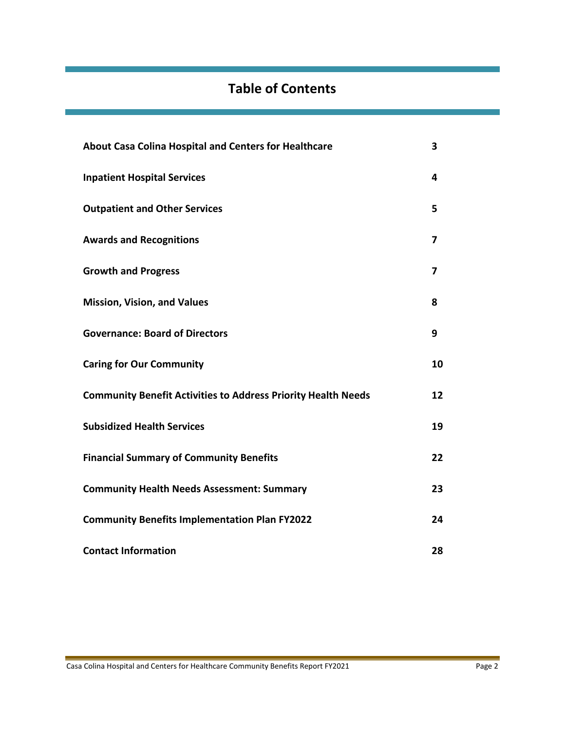# **Table of Contents**

| About Casa Colina Hospital and Centers for Healthcare                | 3                       |
|----------------------------------------------------------------------|-------------------------|
| <b>Inpatient Hospital Services</b>                                   | 4                       |
| <b>Outpatient and Other Services</b>                                 | 5                       |
| <b>Awards and Recognitions</b>                                       | 7                       |
| <b>Growth and Progress</b>                                           | $\overline{\mathbf{z}}$ |
| <b>Mission, Vision, and Values</b>                                   | 8                       |
| <b>Governance: Board of Directors</b>                                | 9                       |
| <b>Caring for Our Community</b>                                      | 10                      |
| <b>Community Benefit Activities to Address Priority Health Needs</b> | 12                      |
| <b>Subsidized Health Services</b>                                    | 19                      |
| <b>Financial Summary of Community Benefits</b>                       | 22                      |
| <b>Community Health Needs Assessment: Summary</b>                    | 23                      |
| <b>Community Benefits Implementation Plan FY2022</b>                 | 24                      |
| <b>Contact Information</b>                                           | 28                      |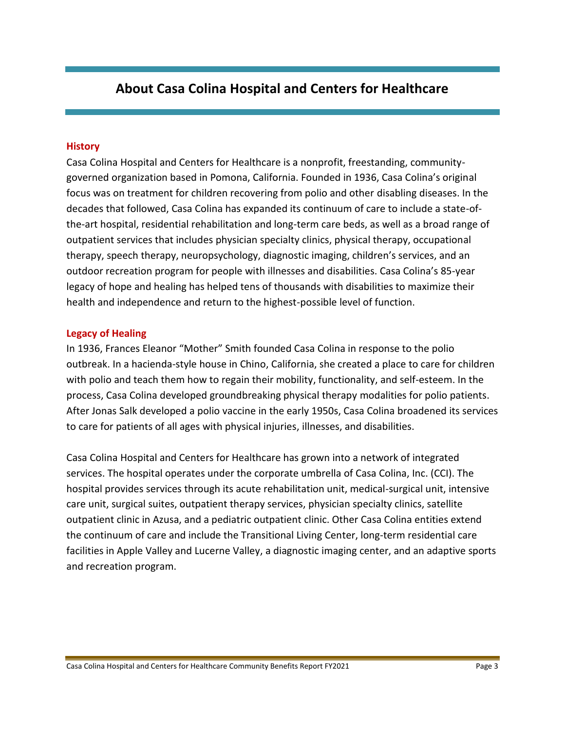## **About Casa Colina Hospital and Centers for Healthcare**

#### **History**

Casa Colina Hospital and Centers for Healthcare is a nonprofit, freestanding, communitygoverned organization based in Pomona, California. Founded in 1936, Casa Colina's original focus was on treatment for children recovering from polio and other disabling diseases. In the decades that followed, Casa Colina has expanded its continuum of care to include a state-ofthe-art hospital, residential rehabilitation and long-term care beds, as well as a broad range of outpatient services that includes physician specialty clinics, physical therapy, occupational therapy, speech therapy, neuropsychology, diagnostic imaging, children's services, and an outdoor recreation program for people with illnesses and disabilities. Casa Colina's 85-year legacy of hope and healing has helped tens of thousands with disabilities to maximize their health and independence and return to the highest-possible level of function.

#### **Legacy of Healing**

In 1936, Frances Eleanor "Mother" Smith founded Casa Colina in response to the polio outbreak. In a hacienda-style house in Chino, California, she created a place to care for children with polio and teach them how to regain their mobility, functionality, and self-esteem. In the process, Casa Colina developed groundbreaking physical therapy modalities for polio patients. After Jonas Salk developed a polio vaccine in the early 1950s, Casa Colina broadened its services to care for patients of all ages with physical injuries, illnesses, and disabilities.

Casa Colina Hospital and Centers for Healthcare has grown into a network of integrated services. The hospital operates under the corporate umbrella of Casa Colina, Inc. (CCI). The hospital provides services through its acute rehabilitation unit, medical-surgical unit, intensive care unit, surgical suites, outpatient therapy services, physician specialty clinics, satellite outpatient clinic in Azusa, and a pediatric outpatient clinic. Other Casa Colina entities extend the continuum of care and include the Transitional Living Center, long-term residential care facilities in Apple Valley and Lucerne Valley, a diagnostic imaging center, and an adaptive sports and recreation program.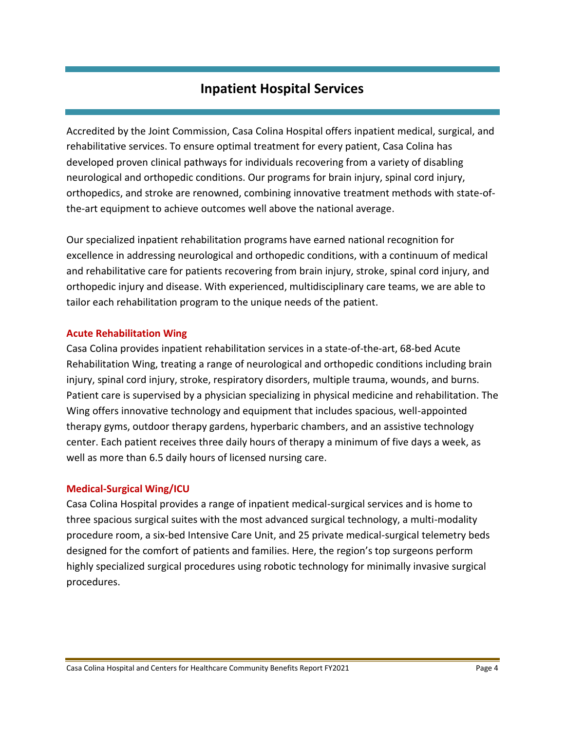## **Inpatient Hospital Services**

Accredited by the Joint Commission, Casa Colina Hospital offers inpatient medical, surgical, and rehabilitative services. To ensure optimal treatment for every patient, Casa Colina has developed proven clinical pathways for individuals recovering from a variety of disabling neurological and orthopedic conditions. Our programs for brain injury, spinal cord injury, orthopedics, and stroke are renowned, combining innovative treatment methods with state-ofthe-art equipment to achieve outcomes well above the national average.

Our specialized inpatient rehabilitation programs have earned national recognition for excellence in addressing neurological and orthopedic conditions, with a continuum of medical and rehabilitative care for patients recovering from brain injury, stroke, spinal cord injury, and orthopedic injury and disease. With experienced, multidisciplinary care teams, we are able to tailor each rehabilitation program to the unique needs of the patient.

## **Acute Rehabilitation Wing**

Casa Colina provides inpatient rehabilitation services in a state-of-the-art, 68-bed Acute Rehabilitation Wing, treating a range of neurological and orthopedic conditions including brain injury, spinal cord injury, stroke, respiratory disorders, multiple trauma, wounds, and burns. Patient care is supervised by a physician specializing in physical medicine and rehabilitation. The Wing offers innovative technology and equipment that includes spacious, well-appointed therapy gyms, outdoor therapy gardens, hyperbaric chambers, and an assistive technology center. Each patient receives three daily hours of therapy a minimum of five days a week, as well as more than 6.5 daily hours of licensed nursing care.

#### **Medical-Surgical Wing/ICU**

Casa Colina Hospital provides a range of inpatient medical-surgical services and is home to three spacious surgical suites with the most advanced surgical technology, a multi-modality procedure room, a six-bed Intensive Care Unit, and 25 private medical-surgical telemetry beds designed for the comfort of patients and families. Here, the region's top surgeons perform highly specialized surgical procedures using robotic technology for minimally invasive surgical procedures.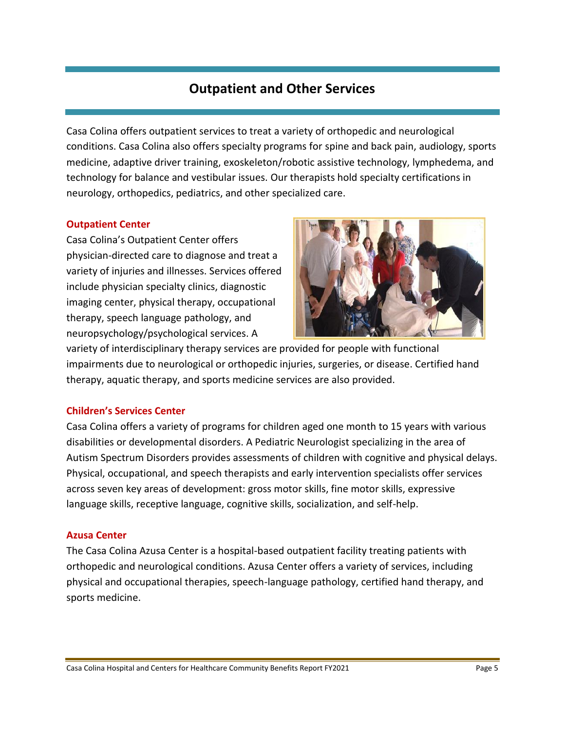## **Outpatient and Other Services**

Casa Colina offers outpatient services to treat a variety of orthopedic and neurological conditions. Casa Colina also offers specialty programs for spine and back pain, audiology, sports medicine, adaptive driver training, exoskeleton/robotic assistive technology, lymphedema, and technology for balance and vestibular issues. Our therapists hold specialty certifications in neurology, orthopedics, pediatrics, and other specialized care.

## **Outpatient Center**

Casa Colina's Outpatient Center offers physician-directed care to diagnose and treat a variety of injuries and illnesses. Services offered include physician specialty clinics, diagnostic imaging center, physical therapy, occupational therapy, speech language pathology, and neuropsychology/psychological services. A



variety of interdisciplinary therapy services are provided for people with functional impairments due to neurological or orthopedic injuries, surgeries, or disease. Certified hand therapy, aquatic therapy, and sports medicine services are also provided.

## **Children's Services Center**

Casa Colina offers a variety of programs for children aged one month to 15 years with various disabilities or developmental disorders. A Pediatric Neurologist specializing in the area of Autism Spectrum Disorders provides assessments of children with cognitive and physical delays. Physical, occupational, and speech therapists and early intervention specialists offer services across seven key areas of development: gross motor skills, fine motor skills, expressive language skills, receptive language, cognitive skills, socialization, and self-help.

## **Azusa Center**

The Casa Colina Azusa Center is a hospital-based outpatient facility treating patients with orthopedic and neurological conditions. Azusa Center offers a variety of services, including physical and occupational therapies, speech-language pathology, certified hand therapy, and sports medicine.

Casa Colina Hospital and Centers for Healthcare Community Benefits Report FY2021 Page 5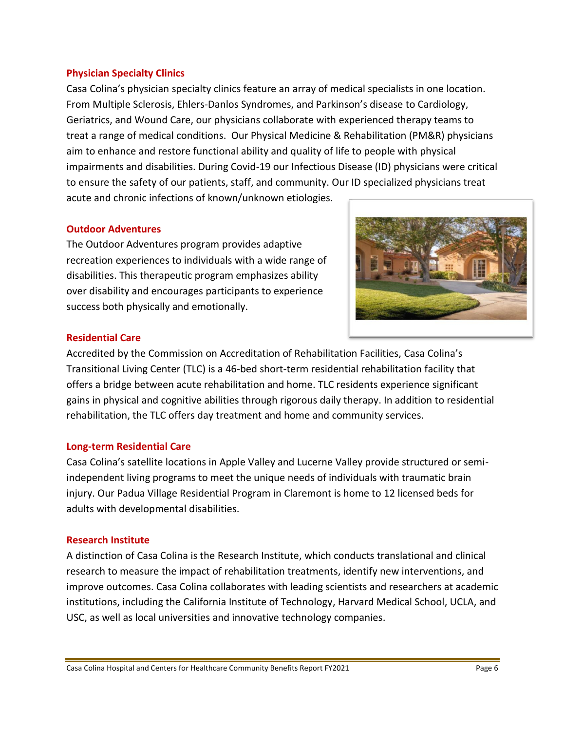#### **Physician Specialty Clinics**

Casa Colina's physician specialty clinics feature an array of medical specialists in one location. From Multiple Sclerosis, Ehlers-Danlos Syndromes, and Parkinson's disease to Cardiology, Geriatrics, and Wound Care, our physicians collaborate with experienced therapy teams to treat a range of medical conditions. Our Physical Medicine & Rehabilitation (PM&R) physicians aim to enhance and restore functional ability and quality of life to people with physical impairments and disabilities. During Covid-19 our Infectious Disease (ID) physicians were critical to ensure the safety of our patients, staff, and community. Our ID specialized physicians treat acute and chronic infections of known/unknown etiologies.

#### **Outdoor Adventures**

The Outdoor Adventures program provides adaptive recreation experiences to individuals with a wide range of disabilities. This therapeutic program emphasizes ability over disability and encourages participants to experience success both physically and emotionally.



## **Residential Care**

Accredited by the Commission on Accreditation of Rehabilitation Facilities, Casa Colina's Transitional Living Center (TLC) is a 46-bed short-term residential rehabilitation facility that offers a bridge between acute rehabilitation and home. TLC residents experience significant gains in physical and cognitive abilities through rigorous daily therapy. In addition to residential rehabilitation, the TLC offers day treatment and home and community services.

## **Long-term Residential Care**

Casa Colina's satellite locations in Apple Valley and Lucerne Valley provide structured or semiindependent living programs to meet the unique needs of individuals with traumatic brain injury. Our Padua Village Residential Program in Claremont is home to 12 licensed beds for adults with developmental disabilities.

## **Research Institute**

A distinction of Casa Colina is the Research Institute, which conducts translational and clinical research to measure the impact of rehabilitation treatments, identify new interventions, and improve outcomes. Casa Colina collaborates with leading scientists and researchers at academic institutions, including the California Institute of Technology, Harvard Medical School, UCLA, and USC, as well as local universities and innovative technology companies.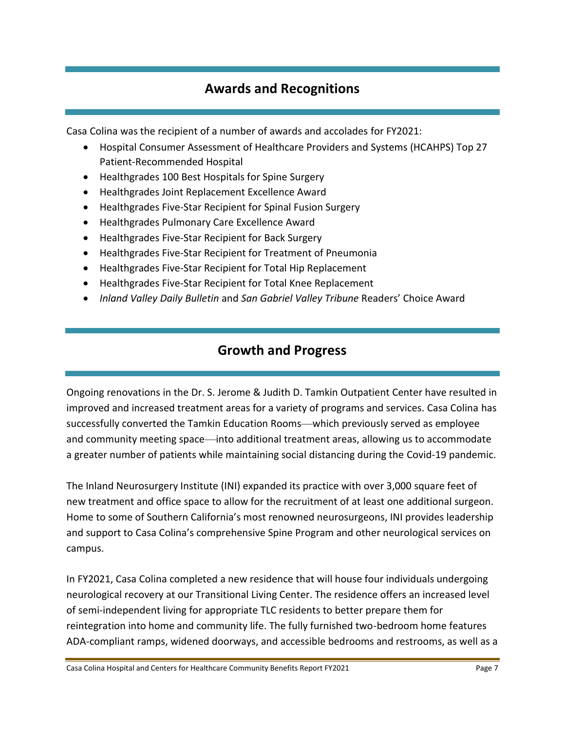## **Awards and Recognitions**

Casa Colina was the recipient of a number of awards and accolades for FY2021:

- Hospital Consumer Assessment of Healthcare Providers and Systems (HCAHPS) Top 27 Patient-Recommended Hospital
- Healthgrades 100 Best Hospitals for Spine Surgery
- Healthgrades Joint Replacement Excellence Award
- Healthgrades Five-Star Recipient for Spinal Fusion Surgery
- Healthgrades Pulmonary Care Excellence Award
- Healthgrades Five-Star Recipient for Back Surgery
- Healthgrades Five-Star Recipient for Treatment of Pneumonia
- Healthgrades Five-Star Recipient for Total Hip Replacement
- Healthgrades Five-Star Recipient for Total Knee Replacement
- *Inland Valley Daily Bulletin* and *San Gabriel Valley Tribune* Readers' Choice Award

## **Growth and Progress**

Ongoing renovations in the Dr. S. Jerome & Judith D. Tamkin Outpatient Center have resulted in improved and increased treatment areas for a variety of programs and services. Casa Colina has successfully converted the Tamkin Education Rooms—which previously served as employee and community meeting space—into additional treatment areas, allowing us to accommodate a greater number of patients while maintaining social distancing during the Covid-19 pandemic.

The Inland Neurosurgery Institute (INI) expanded its practice with over 3,000 square feet of new treatment and office space to allow for the recruitment of at least one additional surgeon. Home to some of Southern California's most renowned neurosurgeons, INI provides leadership and support to Casa Colina's comprehensive Spine Program and other neurological services on campus.

In FY2021, Casa Colina completed a new residence that will house four individuals undergoing neurological recovery at our Transitional Living Center. The residence offers an increased level of semi-independent living for appropriate TLC residents to better prepare them for reintegration into home and community life. The fully furnished two-bedroom home features ADA-compliant ramps, widened doorways, and accessible bedrooms and restrooms, as well as a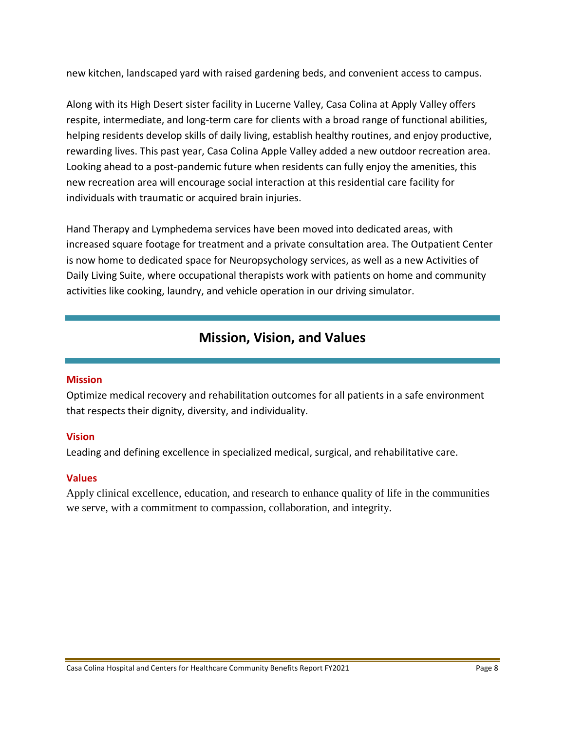new kitchen, landscaped yard with raised gardening beds, and convenient access to campus.

Along with its High Desert sister facility in Lucerne Valley, Casa Colina at Apply Valley offers respite, intermediate, and long-term care for clients with a broad range of functional abilities, helping residents develop skills of daily living, establish healthy routines, and enjoy productive, rewarding lives. This past year, Casa Colina Apple Valley added a new outdoor recreation area. Looking ahead to a post-pandemic future when residents can fully enjoy the amenities, this new recreation area will encourage social interaction at this residential care facility for individuals with traumatic or acquired brain injuries.

Hand Therapy and Lymphedema services have been moved into dedicated areas, with increased square footage for treatment and a private consultation area. The Outpatient Center is now home to dedicated space for Neuropsychology services, as well as a new Activities of Daily Living Suite, where occupational therapists work with patients on home and community activities like cooking, laundry, and vehicle operation in our driving simulator.

## **Mission, Vision, and Values**

## **Mission**

Optimize medical recovery and rehabilitation outcomes for all patients in a safe environment that respects their dignity, diversity, and individuality.

## **Vision**

Leading and defining excellence in specialized medical, surgical, and rehabilitative care.

## **Values**

Apply clinical excellence, education, and research to enhance quality of life in the communities we serve, with a commitment to compassion, collaboration, and integrity.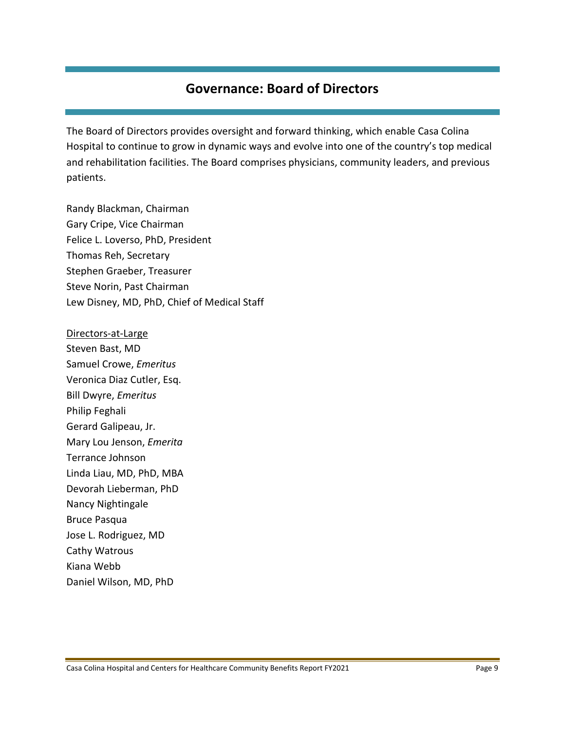## **Governance: Board of Directors**

The Board of Directors provides oversight and forward thinking, which enable Casa Colina Hospital to continue to grow in dynamic ways and evolve into one of the country's top medical and rehabilitation facilities. The Board comprises physicians, community leaders, and previous patients.

Randy Blackman, Chairman Gary Cripe, Vice Chairman Felice L. Loverso, PhD, President Thomas Reh, Secretary Stephen Graeber, Treasurer Steve Norin, Past Chairman Lew Disney, MD, PhD, Chief of Medical Staff

Directors-at-Large Steven Bast, MD Samuel Crowe, *Emeritus* Veronica Diaz Cutler, Esq. Bill Dwyre, *Emeritus* Philip Feghali Gerard Galipeau, Jr. Mary Lou Jenson, *Emerita* Terrance Johnson Linda Liau, MD, PhD, MBA Devorah Lieberman, PhD Nancy Nightingale Bruce Pasqua Jose L. Rodriguez, MD Cathy Watrous Kiana Webb Daniel Wilson, MD, PhD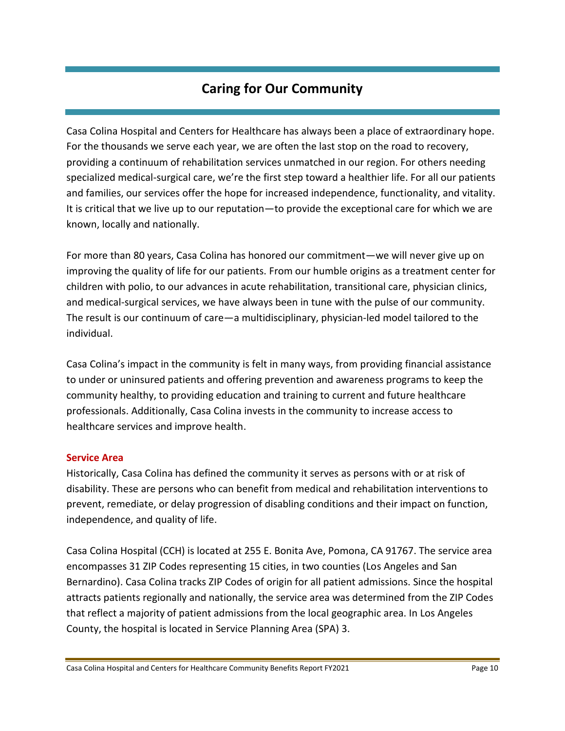## **Caring for Our Community**

Casa Colina Hospital and Centers for Healthcare has always been a place of extraordinary hope. For the thousands we serve each year, we are often the last stop on the road to recovery, providing a continuum of rehabilitation services unmatched in our region. For others needing specialized medical-surgical care, we're the first step toward a healthier life. For all our patients and families, our services offer the hope for increased independence, functionality, and vitality. It is critical that we live up to our reputation—to provide the exceptional care for which we are known, locally and nationally.

For more than 80 years, Casa Colina has honored our commitment—we will never give up on improving the quality of life for our patients. From our humble origins as a treatment center for children with polio, to our advances in acute rehabilitation, transitional care, physician clinics, and medical-surgical services, we have always been in tune with the pulse of our community. The result is our continuum of care—a multidisciplinary, physician-led model tailored to the individual.

Casa Colina's impact in the community is felt in many ways, from providing financial assistance to under or uninsured patients and offering prevention and awareness programs to keep the community healthy, to providing education and training to current and future healthcare professionals. Additionally, Casa Colina invests in the community to increase access to healthcare services and improve health.

## **Service Area**

Historically, Casa Colina has defined the community it serves as persons with or at risk of disability. These are persons who can benefit from medical and rehabilitation interventions to prevent, remediate, or delay progression of disabling conditions and their impact on function, independence, and quality of life.

Casa Colina Hospital (CCH) is located at 255 E. Bonita Ave, Pomona, CA 91767. The service area encompasses 31 ZIP Codes representing 15 cities, in two counties (Los Angeles and San Bernardino). Casa Colina tracks ZIP Codes of origin for all patient admissions. Since the hospital attracts patients regionally and nationally, the service area was determined from the ZIP Codes that reflect a majority of patient admissions from the local geographic area. In Los Angeles County, the hospital is located in Service Planning Area (SPA) 3.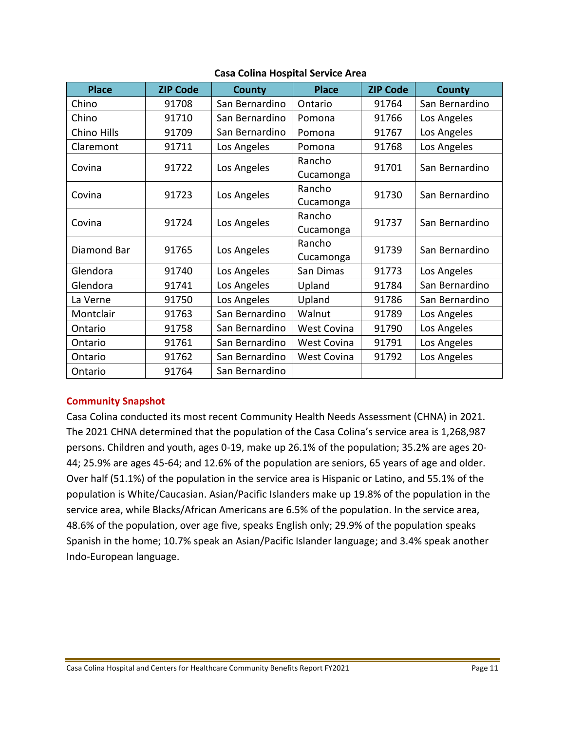| <b>Place</b> | <b>ZIP Code</b> | <b>County</b>  | <b>Place</b>       | <b>ZIP Code</b> | <b>County</b>  |
|--------------|-----------------|----------------|--------------------|-----------------|----------------|
| Chino        | 91708           | San Bernardino | Ontario            | 91764           | San Bernardino |
| Chino        | 91710           | San Bernardino | Pomona             | 91766           | Los Angeles    |
| Chino Hills  | 91709           | San Bernardino | Pomona             | 91767           | Los Angeles    |
| Claremont    | 91711           | Los Angeles    | Pomona             | 91768           | Los Angeles    |
| Covina       | 91722           | Los Angeles    | Rancho             | 91701           | San Bernardino |
|              |                 |                | Cucamonga          |                 |                |
| Covina       | 91723           | Los Angeles    | Rancho             | 91730           | San Bernardino |
|              |                 |                | Cucamonga          |                 |                |
| Covina       | 91724           | Los Angeles    | Rancho             | 91737           | San Bernardino |
|              |                 |                | Cucamonga          |                 |                |
| Diamond Bar  | 91765           | Los Angeles    | Rancho             | 91739           | San Bernardino |
|              |                 |                | Cucamonga          |                 |                |
| Glendora     | 91740           | Los Angeles    | San Dimas          | 91773           | Los Angeles    |
| Glendora     | 91741           | Los Angeles    | Upland             | 91784           | San Bernardino |
| La Verne     | 91750           | Los Angeles    | Upland             | 91786           | San Bernardino |
| Montclair    | 91763           | San Bernardino | Walnut             | 91789           | Los Angeles    |
| Ontario      | 91758           | San Bernardino | <b>West Covina</b> | 91790           | Los Angeles    |
| Ontario      | 91761           | San Bernardino | <b>West Covina</b> | 91791           | Los Angeles    |
| Ontario      | 91762           | San Bernardino | West Covina        | 91792           | Los Angeles    |
| Ontario      | 91764           | San Bernardino |                    |                 |                |

## **Casa Colina Hospital Service Area**

## **Community Snapshot**

Casa Colina conducted its most recent Community Health Needs Assessment (CHNA) in 2021. The 2021 CHNA determined that the population of the Casa Colina's service area is 1,268,987 persons. Children and youth, ages 0-19, make up 26.1% of the population; 35.2% are ages 20- 44; 25.9% are ages 45-64; and 12.6% of the population are seniors, 65 years of age and older. Over half (51.1%) of the population in the service area is Hispanic or Latino, and 55.1% of the population is White/Caucasian. Asian/Pacific Islanders make up 19.8% of the population in the service area, while Blacks/African Americans are 6.5% of the population. In the service area, 48.6% of the population, over age five, speaks English only; 29.9% of the population speaks Spanish in the home; 10.7% speak an Asian/Pacific Islander language; and 3.4% speak another Indo-European language.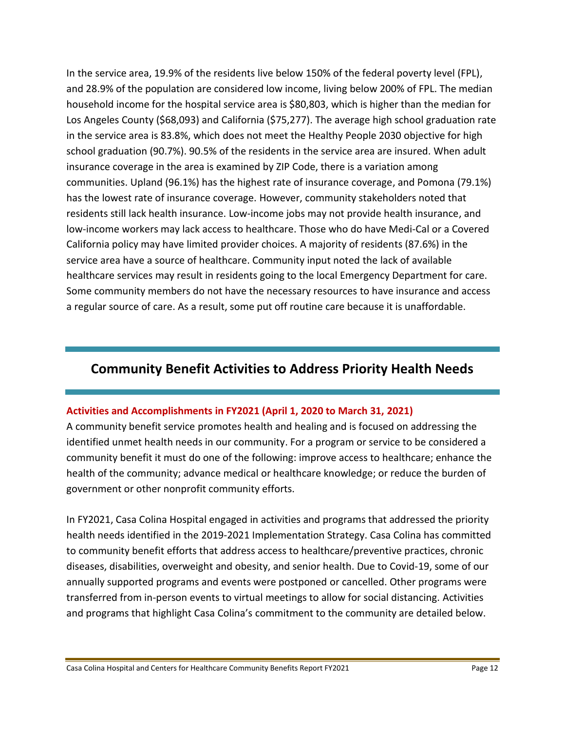In the service area, 19.9% of the residents live below 150% of the federal poverty level (FPL), and 28.9% of the population are considered low income, living below 200% of FPL. The median household income for the hospital service area is \$80,803, which is higher than the median for Los Angeles County (\$68,093) and California (\$75,277). The average high school graduation rate in the service area is 83.8%, which does not meet the Healthy People 2030 objective for high school graduation (90.7%). 90.5% of the residents in the service area are insured. When adult insurance coverage in the area is examined by ZIP Code, there is a variation among communities. Upland (96.1%) has the highest rate of insurance coverage, and Pomona (79.1%) has the lowest rate of insurance coverage. However, community stakeholders noted that residents still lack health insurance. Low-income jobs may not provide health insurance, and low-income workers may lack access to healthcare. Those who do have Medi-Cal or a Covered California policy may have limited provider choices. A majority of residents (87.6%) in the service area have a source of healthcare. Community input noted the lack of available healthcare services may result in residents going to the local Emergency Department for care. Some community members do not have the necessary resources to have insurance and access a regular source of care. As a result, some put off routine care because it is unaffordable.

## **Community Benefit Activities to Address Priority Health Needs**

## **Activities and Accomplishments in FY2021 (April 1, 2020 to March 31, 2021)**

A community benefit service promotes health and healing and is focused on addressing the identified unmet health needs in our community. For a program or service to be considered a community benefit it must do one of the following: improve access to healthcare; enhance the health of the community; advance medical or healthcare knowledge; or reduce the burden of government or other nonprofit community efforts.

In FY2021, Casa Colina Hospital engaged in activities and programs that addressed the priority health needs identified in the 2019-2021 Implementation Strategy. Casa Colina has committed to community benefit efforts that address access to healthcare/preventive practices, chronic diseases, disabilities, overweight and obesity, and senior health. Due to Covid-19, some of our annually supported programs and events were postponed or cancelled. Other programs were transferred from in-person events to virtual meetings to allow for social distancing. Activities and programs that highlight Casa Colina's commitment to the community are detailed below.

Casa Colina Hospital and Centers for Healthcare Community Benefits Report FY2021 Page 12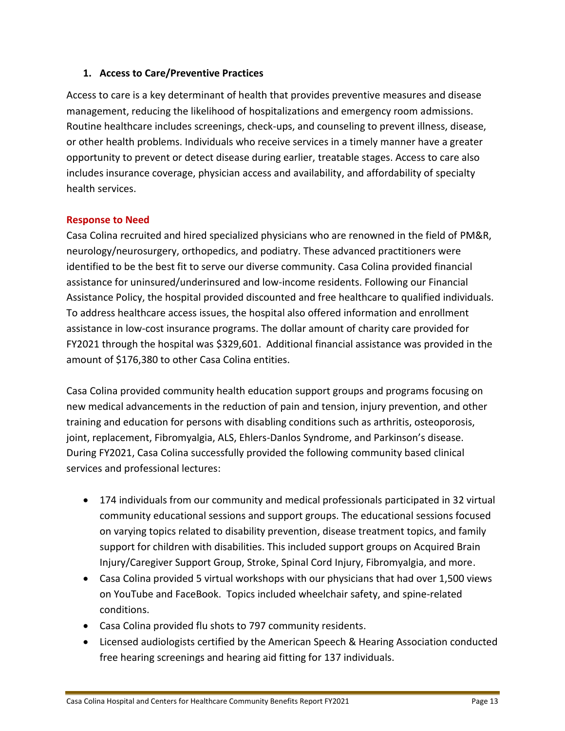## **1. Access to Care/Preventive Practices**

Access to care is a key determinant of health that provides preventive measures and disease management, reducing the likelihood of hospitalizations and emergency room admissions. Routine healthcare includes screenings, check-ups, and counseling to prevent illness, disease, or other health problems. Individuals who receive services in a timely manner have a greater opportunity to prevent or detect disease during earlier, treatable stages. Access to care also includes insurance coverage, physician access and availability, and affordability of specialty health services.

## **Response to Need**

Casa Colina recruited and hired specialized physicians who are renowned in the field of PM&R, neurology/neurosurgery, orthopedics, and podiatry. These advanced practitioners were identified to be the best fit to serve our diverse community. Casa Colina provided financial assistance for uninsured/underinsured and low-income residents. Following our Financial Assistance Policy, the hospital provided discounted and free healthcare to qualified individuals. To address healthcare access issues, the hospital also offered information and enrollment assistance in low-cost insurance programs. The dollar amount of charity care provided for FY2021 through the hospital was \$329,601. Additional financial assistance was provided in the amount of \$176,380 to other Casa Colina entities.

Casa Colina provided community health education support groups and programs focusing on new medical advancements in the reduction of pain and tension, injury prevention, and other training and education for persons with disabling conditions such as arthritis, osteoporosis, joint, replacement, Fibromyalgia, ALS, Ehlers-Danlos Syndrome, and Parkinson's disease. During FY2021, Casa Colina successfully provided the following community based clinical services and professional lectures:

- 174 individuals from our community and medical professionals participated in 32 virtual community educational sessions and support groups. The educational sessions focused on varying topics related to disability prevention, disease treatment topics, and family support for children with disabilities. This included support groups on Acquired Brain Injury/Caregiver Support Group, Stroke, Spinal Cord Injury, Fibromyalgia, and more.
- Casa Colina provided 5 virtual workshops with our physicians that had over 1,500 views on YouTube and FaceBook. Topics included wheelchair safety, and spine-related conditions.
- Casa Colina provided flu shots to 797 community residents.
- Licensed audiologists certified by the American Speech & Hearing Association conducted free hearing screenings and hearing aid fitting for 137 individuals.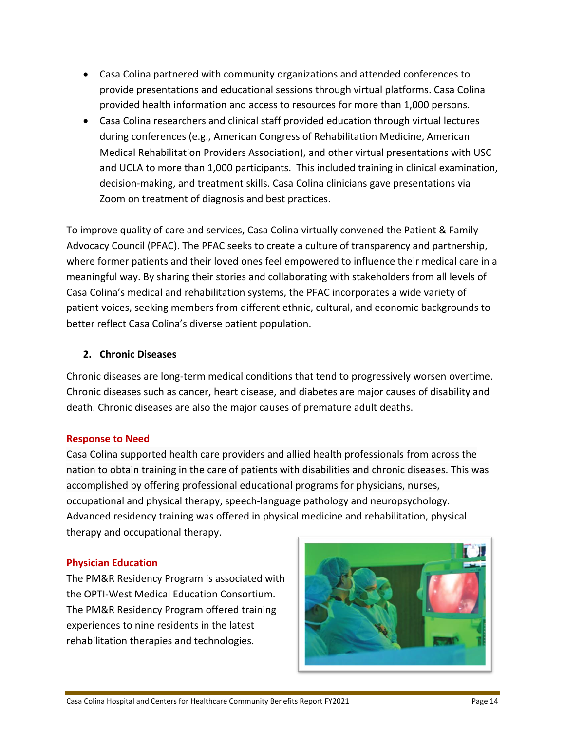- Casa Colina partnered with community organizations and attended conferences to provide presentations and educational sessions through virtual platforms. Casa Colina provided health information and access to resources for more than 1,000 persons.
- Casa Colina researchers and clinical staff provided education through virtual lectures during conferences (e.g., American Congress of Rehabilitation Medicine, American Medical Rehabilitation Providers Association), and other virtual presentations with USC and UCLA to more than 1,000 participants. This included training in clinical examination, decision-making, and treatment skills. Casa Colina clinicians gave presentations via Zoom on treatment of diagnosis and best practices.

To improve quality of care and services, Casa Colina virtually convened the Patient & Family Advocacy Council (PFAC). The PFAC seeks to create a culture of transparency and partnership, where former patients and their loved ones feel empowered to influence their medical care in a meaningful way. By sharing their stories and collaborating with stakeholders from all levels of Casa Colina's medical and rehabilitation systems, the PFAC incorporates a wide variety of patient voices, seeking members from different ethnic, cultural, and economic backgrounds to better reflect Casa Colina's diverse patient population.

## **2. Chronic Diseases**

Chronic diseases are long-term medical conditions that tend to progressively worsen overtime. Chronic diseases such as cancer, heart disease, and diabetes are major causes of disability and death. Chronic diseases are also the major causes of premature adult deaths.

## **Response to Need**

Casa Colina supported health care providers and allied health professionals from across the nation to obtain training in the care of patients with disabilities and chronic diseases. This was accomplished by offering professional educational programs for physicians, nurses, occupational and physical therapy, speech-language pathology and neuropsychology. Advanced residency training was offered in physical medicine and rehabilitation, physical therapy and occupational therapy.

## **Physician Education**

The PM&R Residency Program is associated with the OPTI-West Medical Education Consortium. The PM&R Residency Program offered training experiences to nine residents in the latest rehabilitation therapies and technologies.

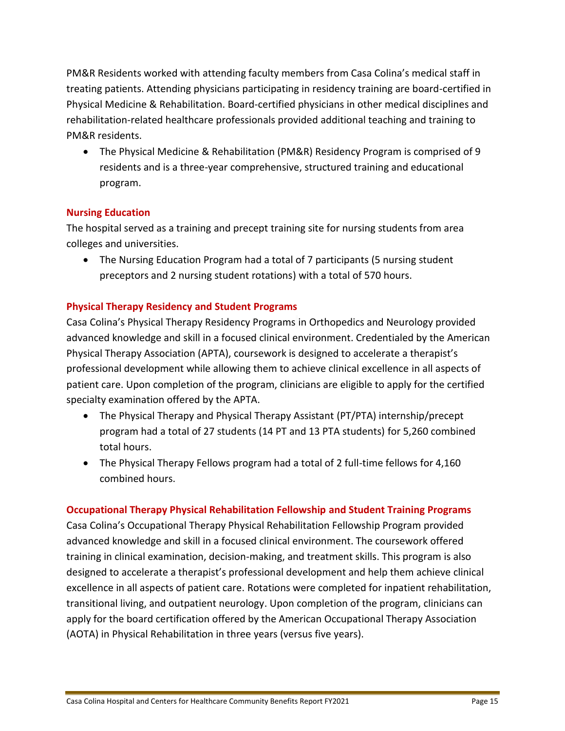PM&R Residents worked with attending faculty members from Casa Colina's medical staff in treating patients. Attending physicians participating in residency training are board-certified in Physical Medicine & Rehabilitation. Board-certified physicians in other medical disciplines and rehabilitation-related healthcare professionals provided additional teaching and training to PM&R residents.

 The Physical Medicine & Rehabilitation (PM&R) Residency Program is comprised of 9 residents and is a three-year comprehensive, structured training and educational program.

## **Nursing Education**

The hospital served as a training and precept training site for nursing students from area colleges and universities.

• The Nursing Education Program had a total of 7 participants (5 nursing student preceptors and 2 nursing student rotations) with a total of 570 hours.

## **Physical Therapy Residency and Student Programs**

Casa Colina's Physical Therapy Residency Programs in Orthopedics and Neurology provided advanced knowledge and skill in a focused clinical environment. Credentialed by the American Physical Therapy Association (APTA), coursework is designed to accelerate a therapist's professional development while allowing them to achieve clinical excellence in all aspects of patient care. Upon completion of the program, clinicians are eligible to apply for the certified specialty examination offered by the APTA.

- The Physical Therapy and Physical Therapy Assistant (PT/PTA) internship/precept program had a total of 27 students (14 PT and 13 PTA students) for 5,260 combined total hours.
- The Physical Therapy Fellows program had a total of 2 full-time fellows for 4,160 combined hours.

## **Occupational Therapy Physical Rehabilitation Fellowship and Student Training Programs**

Casa Colina's Occupational Therapy Physical Rehabilitation Fellowship Program provided advanced knowledge and skill in a focused clinical environment. The coursework offered training in clinical examination, decision-making, and treatment skills. This program is also designed to accelerate a therapist's professional development and help them achieve clinical excellence in all aspects of patient care. Rotations were completed for inpatient rehabilitation, transitional living, and outpatient neurology. Upon completion of the program, clinicians can apply for the board certification offered by the American Occupational Therapy Association (AOTA) in Physical Rehabilitation in three years (versus five years).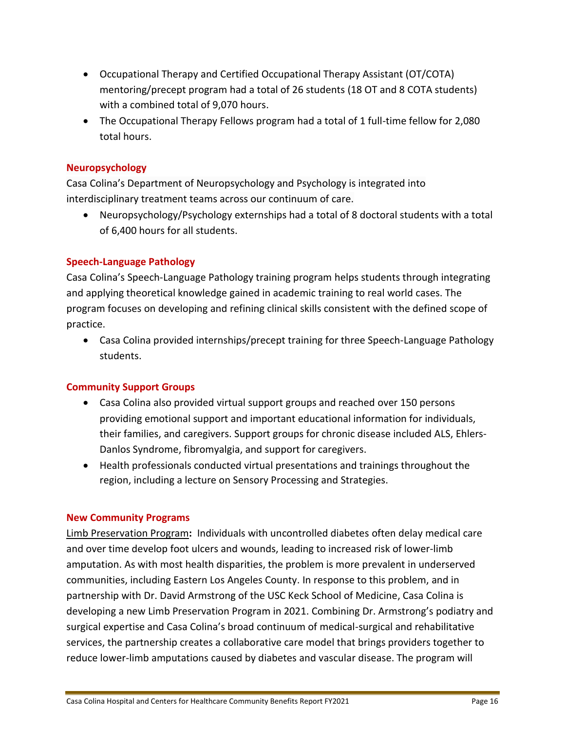- Occupational Therapy and Certified Occupational Therapy Assistant (OT/COTA) mentoring/precept program had a total of 26 students (18 OT and 8 COTA students) with a combined total of 9,070 hours.
- The Occupational Therapy Fellows program had a total of 1 full-time fellow for 2,080 total hours.

## **Neuropsychology**

Casa Colina's Department of Neuropsychology and Psychology is integrated into interdisciplinary treatment teams across our continuum of care.

 Neuropsychology/Psychology externships had a total of 8 doctoral students with a total of 6,400 hours for all students.

## **Speech-Language Pathology**

Casa Colina's Speech-Language Pathology training program helps students through integrating and applying theoretical knowledge gained in academic training to real world cases. The program focuses on developing and refining clinical skills consistent with the defined scope of practice.

 Casa Colina provided internships/precept training for three Speech-Language Pathology students.

## **Community Support Groups**

- Casa Colina also provided virtual support groups and reached over 150 persons providing emotional support and important educational information for individuals, their families, and caregivers. Support groups for chronic disease included ALS, Ehlers-Danlos Syndrome, fibromyalgia, and support for caregivers.
- Health professionals conducted virtual presentations and trainings throughout the region, including a lecture on Sensory Processing and Strategies.

## **New Community Programs**

Limb Preservation Program**:** Individuals with uncontrolled diabetes often delay medical care and over time develop foot ulcers and wounds, leading to increased risk of lower-limb amputation. As with most health disparities, the problem is more prevalent in underserved communities, including Eastern Los Angeles County. In response to this problem, and in partnership with Dr. David Armstrong of the USC Keck School of Medicine, Casa Colina is developing a new Limb Preservation Program in 2021. Combining Dr. Armstrong's podiatry and surgical expertise and Casa Colina's broad continuum of medical-surgical and rehabilitative services, the partnership creates a collaborative care model that brings providers together to reduce lower-limb amputations caused by diabetes and vascular disease. The program will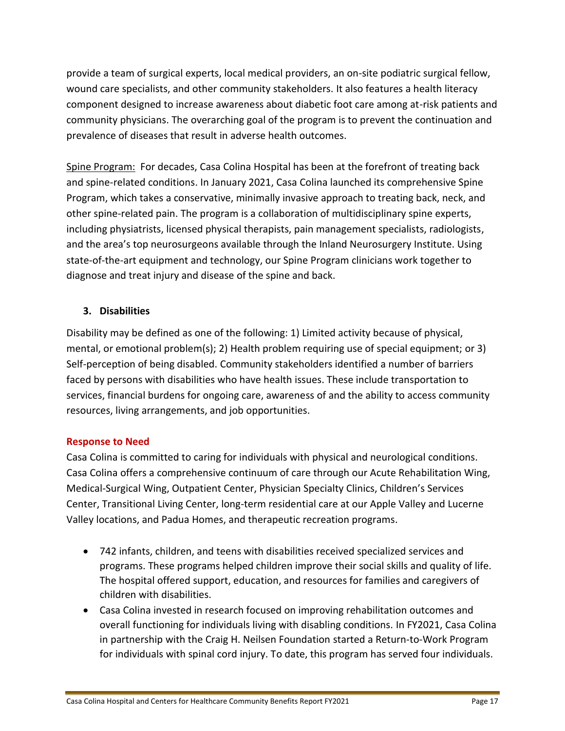provide a team of surgical experts, local medical providers, an on-site podiatric surgical fellow, wound care specialists, and other community stakeholders. It also features a health literacy component designed to increase awareness about diabetic foot care among at-risk patients and community physicians. The overarching goal of the program is to prevent the continuation and prevalence of diseases that result in adverse health outcomes.

Spine Program: For decades, Casa Colina Hospital has been at the forefront of treating back and spine-related conditions. In January 2021, Casa Colina launched its comprehensive Spine Program, which takes a conservative, minimally invasive approach to treating back, neck, and other spine-related pain. The program is a collaboration of multidisciplinary spine experts, including physiatrists, licensed physical therapists, pain management specialists, radiologists, and the area's top neurosurgeons available through the Inland Neurosurgery Institute. Using state-of-the-art equipment and technology, our Spine Program clinicians work together to diagnose and treat injury and disease of the spine and back.

## **3. Disabilities**

Disability may be defined as one of the following: 1) Limited activity because of physical, mental, or emotional problem(s); 2) Health problem requiring use of special equipment; or 3) Self-perception of being disabled. Community stakeholders identified a number of barriers faced by persons with disabilities who have health issues. These include transportation to services, financial burdens for ongoing care, awareness of and the ability to access community resources, living arrangements, and job opportunities.

## **Response to Need**

Casa Colina is committed to caring for individuals with physical and neurological conditions. Casa Colina offers a comprehensive continuum of care through our Acute Rehabilitation Wing, Medical-Surgical Wing, Outpatient Center, Physician Specialty Clinics, Children's Services Center, Transitional Living Center, long-term residential care at our Apple Valley and Lucerne Valley locations, and Padua Homes, and therapeutic recreation programs.

- 742 infants, children, and teens with disabilities received specialized services and programs. These programs helped children improve their social skills and quality of life. The hospital offered support, education, and resources for families and caregivers of children with disabilities.
- Casa Colina invested in research focused on improving rehabilitation outcomes and overall functioning for individuals living with disabling conditions. In FY2021, Casa Colina in partnership with the Craig H. Neilsen Foundation started a Return-to-Work Program for individuals with spinal cord injury. To date, this program has served four individuals.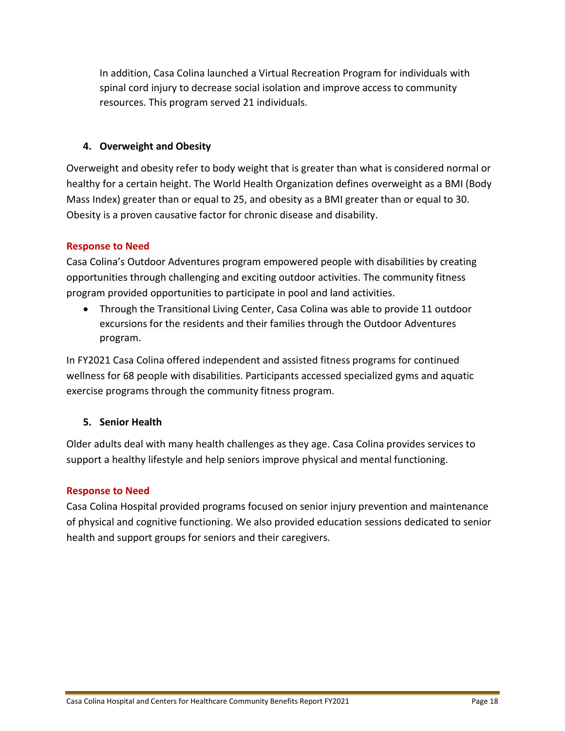In addition, Casa Colina launched a Virtual Recreation Program for individuals with spinal cord injury to decrease social isolation and improve access to community resources. This program served 21 individuals.

## **4. Overweight and Obesity**

Overweight and obesity refer to body weight that is greater than what is considered normal or healthy for a certain height. The World Health Organization defines overweight as a BMI (Body Mass Index) greater than or equal to 25, and obesity as a BMI greater than or equal to 30. Obesity is a proven causative factor for chronic disease and disability.

## **Response to Need**

Casa Colina's Outdoor Adventures program empowered people with disabilities by creating opportunities through challenging and exciting outdoor activities. The community fitness program provided opportunities to participate in pool and land activities.

 Through the Transitional Living Center, Casa Colina was able to provide 11 outdoor excursions for the residents and their families through the Outdoor Adventures program.

In FY2021 Casa Colina offered independent and assisted fitness programs for continued wellness for 68 people with disabilities. Participants accessed specialized gyms and aquatic exercise programs through the community fitness program.

## **5. Senior Health**

Older adults deal with many health challenges as they age. Casa Colina provides services to support a healthy lifestyle and help seniors improve physical and mental functioning.

## **Response to Need**

Casa Colina Hospital provided programs focused on senior injury prevention and maintenance of physical and cognitive functioning. We also provided education sessions dedicated to senior health and support groups for seniors and their caregivers.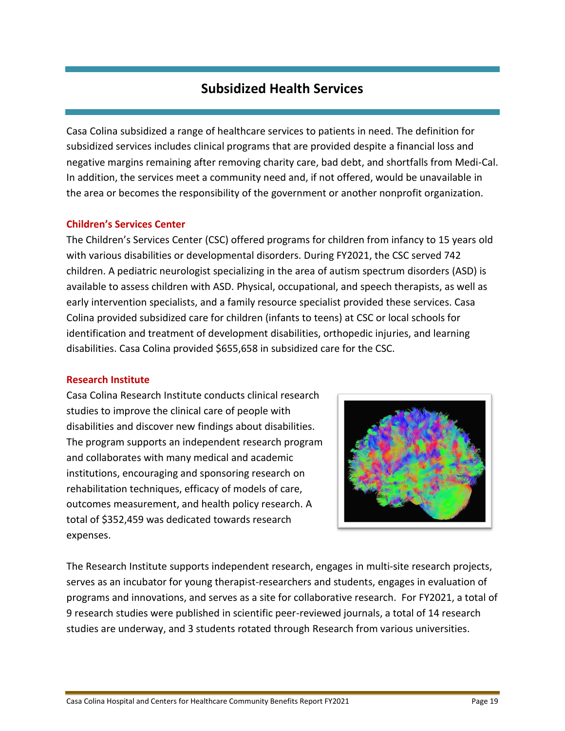## **Subsidized Health Services**

Casa Colina subsidized a range of healthcare services to patients in need. The definition for subsidized services includes clinical programs that are provided despite a financial loss and negative margins remaining after removing charity care, bad debt, and shortfalls from Medi-Cal. In addition, the services meet a community need and, if not offered, would be unavailable in the area or becomes the responsibility of the government or another nonprofit organization.

## **Children's Services Center**

The Children's Services Center (CSC) offered programs for children from infancy to 15 years old with various disabilities or developmental disorders. During FY2021, the CSC served 742 children. A pediatric neurologist specializing in the area of autism spectrum disorders (ASD) is available to assess children with ASD. Physical, occupational, and speech therapists, as well as early intervention specialists, and a family resource specialist provided these services. Casa Colina provided subsidized care for children (infants to teens) at CSC or local schools for identification and treatment of development disabilities, orthopedic injuries, and learning disabilities. Casa Colina provided \$655,658 in subsidized care for the CSC.

## **Research Institute**

Casa Colina Research Institute conducts clinical research studies to improve the clinical care of people with disabilities and discover new findings about disabilities. The program supports an independent research program and collaborates with many medical and academic institutions, encouraging and sponsoring research on rehabilitation techniques, efficacy of models of care, outcomes measurement, and health policy research. A total of \$352,459 was dedicated towards research expenses.



The Research Institute supports independent research, engages in multi-site research projects, serves as an incubator for young therapist-researchers and students, engages in evaluation of programs and innovations, and serves as a site for collaborative research. For FY2021, a total of 9 research studies were published in scientific peer-reviewed journals, a total of 14 research studies are underway, and 3 students rotated through Research from various universities.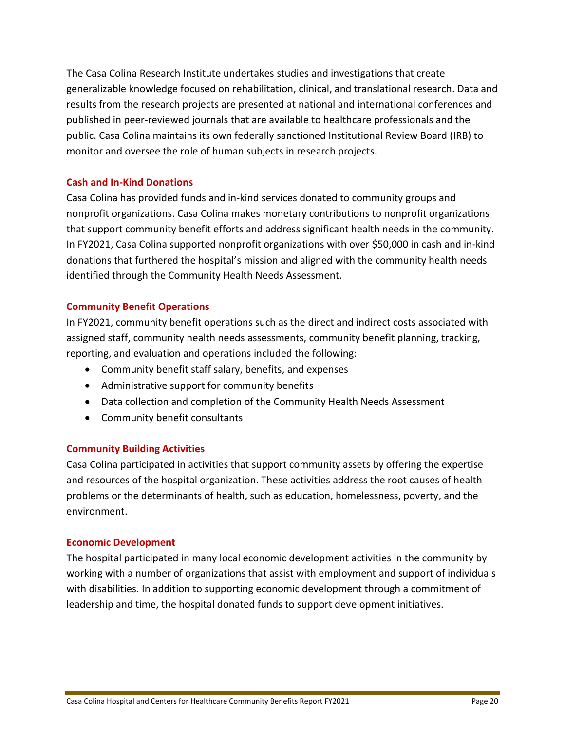The Casa Colina Research Institute undertakes studies and investigations that create generalizable knowledge focused on rehabilitation, clinical, and translational research. Data and results from the research projects are presented at national and international conferences and published in peer-reviewed journals that are available to healthcare professionals and the public. Casa Colina maintains its own federally sanctioned Institutional Review Board (IRB) to monitor and oversee the role of human subjects in research projects.

## **Cash and In-Kind Donations**

Casa Colina has provided funds and in-kind services donated to community groups and nonprofit organizations. Casa Colina makes monetary contributions to nonprofit organizations that support community benefit efforts and address significant health needs in the community. In FY2021, Casa Colina supported nonprofit organizations with over \$50,000 in cash and in-kind donations that furthered the hospital's mission and aligned with the community health needs identified through the Community Health Needs Assessment.

## **Community Benefit Operations**

In FY2021, community benefit operations such as the direct and indirect costs associated with assigned staff, community health needs assessments, community benefit planning, tracking, reporting, and evaluation and operations included the following:

- Community benefit staff salary, benefits, and expenses
- Administrative support for community benefits
- Data collection and completion of the Community Health Needs Assessment
- Community benefit consultants

## **Community Building Activities**

Casa Colina participated in activities that support community assets by offering the expertise and resources of the hospital organization. These activities address the root causes of health problems or the determinants of health, such as education, homelessness, poverty, and the environment.

## **Economic Development**

The hospital participated in many local economic development activities in the community by working with a number of organizations that assist with employment and support of individuals with disabilities. In addition to supporting economic development through a commitment of leadership and time, the hospital donated funds to support development initiatives.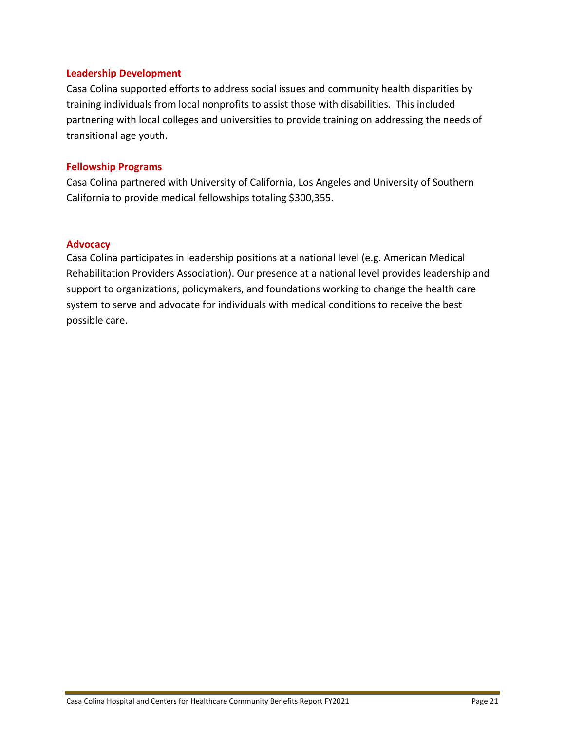## **Leadership Development**

Casa Colina supported efforts to address social issues and community health disparities by training individuals from local nonprofits to assist those with disabilities. This included partnering with local colleges and universities to provide training on addressing the needs of transitional age youth.

#### **Fellowship Programs**

Casa Colina partnered with University of California, Los Angeles and University of Southern California to provide medical fellowships totaling \$300,355.

## **Advocacy**

Casa Colina participates in leadership positions at a national level (e.g. American Medical Rehabilitation Providers Association). Our presence at a national level provides leadership and support to organizations, policymakers, and foundations working to change the health care system to serve and advocate for individuals with medical conditions to receive the best possible care.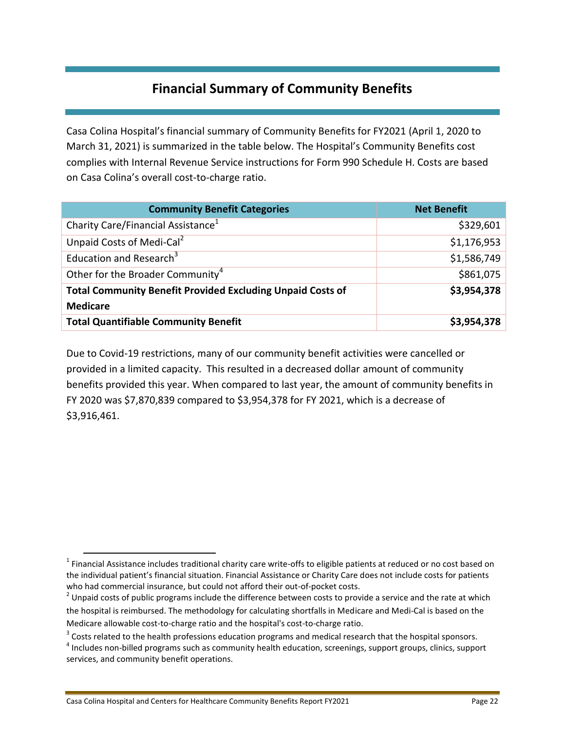## **Financial Summary of Community Benefits**

Casa Colina Hospital's financial summary of Community Benefits for FY2021 (April 1, 2020 to March 31, 2021) is summarized in the table below. The Hospital's Community Benefits cost complies with Internal Revenue Service instructions for Form 990 Schedule H. Costs are based on Casa Colina's overall cost-to-charge ratio.

| <b>Community Benefit Categories</b>                               | <b>Net Benefit</b> |
|-------------------------------------------------------------------|--------------------|
| Charity Care/Financial Assistance <sup>1</sup>                    | \$329,601          |
| Unpaid Costs of Medi-Cal <sup>2</sup>                             | \$1,176,953        |
| Education and Research <sup>3</sup>                               | \$1,586,749        |
| Other for the Broader Community <sup>4</sup>                      | \$861,075          |
| <b>Total Community Benefit Provided Excluding Unpaid Costs of</b> | \$3,954,378        |
| <b>Medicare</b>                                                   |                    |
| <b>Total Quantifiable Community Benefit</b>                       | \$3,954,378        |

Due to Covid-19 restrictions, many of our community benefit activities were cancelled or provided in a limited capacity. This resulted in a decreased dollar amount of community benefits provided this year. When compared to last year, the amount of community benefits in FY 2020 was \$7,870,839 compared to \$3,954,378 for FY 2021, which is a decrease of \$3,916,461.

 $\overline{\phantom{a}}$ 

 $^1$  Financial Assistance includes traditional charity care write-offs to eligible patients at reduced or no cost based on the individual patient's financial situation. Financial Assistance or Charity Care does not include costs for patients who had commercial insurance, but could not afford their out-of-pocket costs.

 $2$  Unpaid costs of public programs include the difference between costs to provide a service and the rate at which the hospital is reimbursed. The methodology for calculating shortfalls in Medicare and Medi-Cal is based on the Medicare allowable cost-to-charge ratio and the hospital's cost-to-charge ratio.

 $3$  Costs related to the health professions education programs and medical research that the hospital sponsors.

<sup>&</sup>lt;sup>4</sup> Includes non-billed programs such as community health education, screenings, support groups, clinics, support services, and community benefit operations.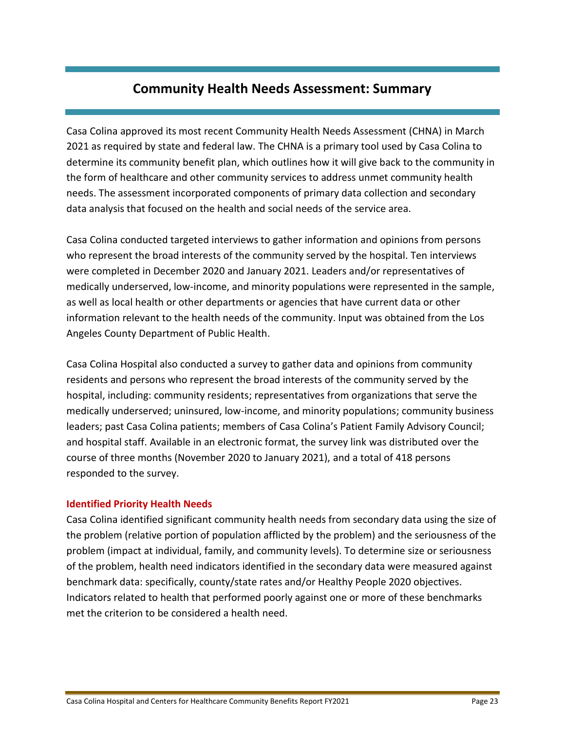## **Community Health Needs Assessment: Summary**

Casa Colina approved its most recent Community Health Needs Assessment (CHNA) in March 2021 as required by state and federal law. The CHNA is a primary tool used by Casa Colina to determine its community benefit plan, which outlines how it will give back to the community in the form of healthcare and other community services to address unmet community health needs. The assessment incorporated components of primary data collection and secondary data analysis that focused on the health and social needs of the service area.

Casa Colina conducted targeted interviews to gather information and opinions from persons who represent the broad interests of the community served by the hospital. Ten interviews were completed in December 2020 and January 2021. Leaders and/or representatives of medically underserved, low-income, and minority populations were represented in the sample, as well as local health or other departments or agencies that have current data or other information relevant to the health needs of the community. Input was obtained from the Los Angeles County Department of Public Health.

Casa Colina Hospital also conducted a survey to gather data and opinions from community residents and persons who represent the broad interests of the community served by the hospital, including: community residents; representatives from organizations that serve the medically underserved; uninsured, low-income, and minority populations; community business leaders; past Casa Colina patients; members of Casa Colina's Patient Family Advisory Council; and hospital staff. Available in an electronic format, the survey link was distributed over the course of three months (November 2020 to January 2021), and a total of 418 persons responded to the survey.

## **Identified Priority Health Needs**

Casa Colina identified significant community health needs from secondary data using the size of the problem (relative portion of population afflicted by the problem) and the seriousness of the problem (impact at individual, family, and community levels). To determine size or seriousness of the problem, health need indicators identified in the secondary data were measured against benchmark data: specifically, county/state rates and/or Healthy People 2020 objectives. Indicators related to health that performed poorly against one or more of these benchmarks met the criterion to be considered a health need.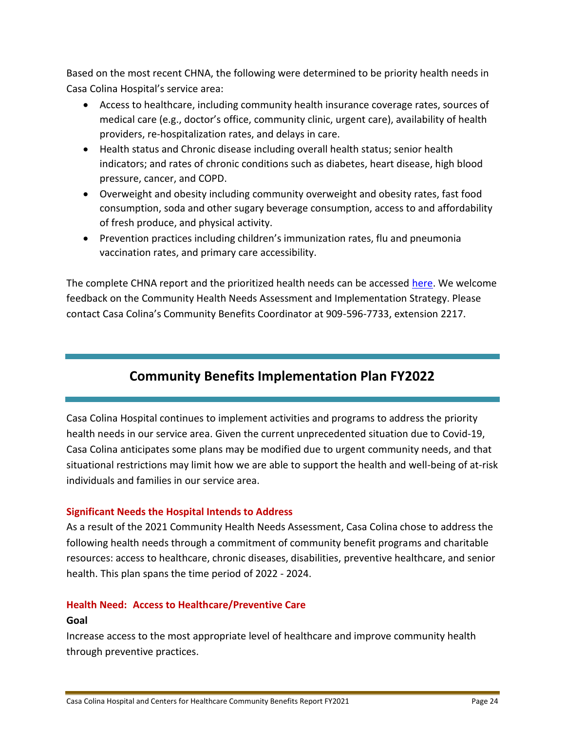Based on the most recent CHNA, the following were determined to be priority health needs in Casa Colina Hospital's service area:

- Access to healthcare, including community health insurance coverage rates, sources of medical care (e.g., doctor's office, community clinic, urgent care), availability of health providers, re-hospitalization rates, and delays in care.
- Health status and Chronic disease including overall health status; senior health indicators; and rates of chronic conditions such as diabetes, heart disease, high blood pressure, cancer, and COPD.
- Overweight and obesity including community overweight and obesity rates, fast food consumption, soda and other sugary beverage consumption, access to and affordability of fresh produce, and physical activity.
- Prevention practices including children's immunization rates, flu and pneumonia vaccination rates, and primary care accessibility.

The complete CHNA report and the prioritized health needs can be accessed [here.](https://www.casacolina.org/documents/2021-CHNA-FINAL-Casa-Colina.pdf) We welcome feedback on the Community Health Needs Assessment and Implementation Strategy. Please contact Casa Colina's Community Benefits Coordinator at 909-596-7733, extension 2217.

## **Community Benefits Implementation Plan FY2022**

Casa Colina Hospital continues to implement activities and programs to address the priority health needs in our service area. Given the current unprecedented situation due to Covid-19, Casa Colina anticipates some plans may be modified due to urgent community needs, and that situational restrictions may limit how we are able to support the health and well-being of at-risk individuals and families in our service area.

## **Significant Needs the Hospital Intends to Address**

As a result of the 2021 Community Health Needs Assessment, Casa Colina chose to address the following health needs through a commitment of community benefit programs and charitable resources: access to healthcare, chronic diseases, disabilities, preventive healthcare, and senior health. This plan spans the time period of 2022 - 2024.

## **Health Need: Access to Healthcare/Preventive Care Goal**

Increase access to the most appropriate level of healthcare and improve community health through preventive practices.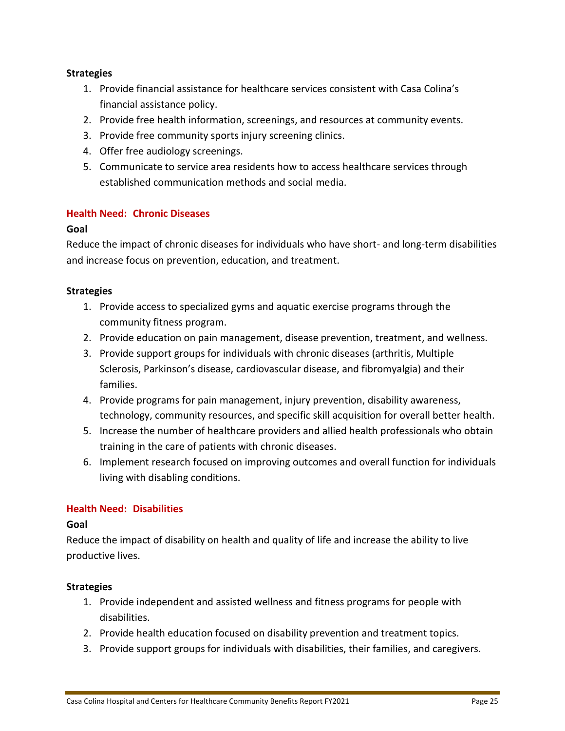## **Strategies**

- 1. Provide financial assistance for healthcare services consistent with Casa Colina's financial assistance policy.
- 2. Provide free health information, screenings, and resources at community events.
- 3. Provide free community sports injury screening clinics.
- 4. Offer free audiology screenings.
- 5. Communicate to service area residents how to access healthcare services through established communication methods and social media.

## **Health Need: Chronic Diseases**

## **Goal**

Reduce the impact of chronic diseases for individuals who have short- and long-term disabilities and increase focus on prevention, education, and treatment.

## **Strategies**

- 1. Provide access to specialized gyms and aquatic exercise programs through the community fitness program.
- 2. Provide education on pain management, disease prevention, treatment, and wellness.
- 3. Provide support groups for individuals with chronic diseases (arthritis, Multiple Sclerosis, Parkinson's disease, cardiovascular disease, and fibromyalgia) and their families.
- 4. Provide programs for pain management, injury prevention, disability awareness, technology, community resources, and specific skill acquisition for overall better health.
- 5. Increase the number of healthcare providers and allied health professionals who obtain training in the care of patients with chronic diseases.
- 6. Implement research focused on improving outcomes and overall function for individuals living with disabling conditions.

## **Health Need: Disabilities**

## **Goal**

Reduce the impact of disability on health and quality of life and increase the ability to live productive lives.

## **Strategies**

- 1. Provide independent and assisted wellness and fitness programs for people with disabilities.
- 2. Provide health education focused on disability prevention and treatment topics.
- 3. Provide support groups for individuals with disabilities, their families, and caregivers.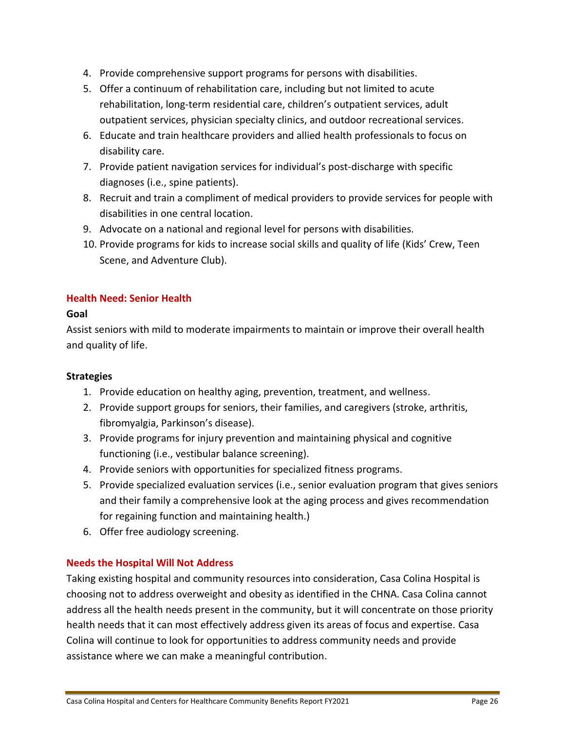- 4. Provide comprehensive support programs for persons with disabilities.
- 5. Offer a continuum of rehabilitation care, including but not limited to acute rehabilitation, long-term residential care, children's outpatient services, adult outpatient services, physician specialty clinics, and outdoor recreational services.
- 6. Educate and train healthcare providers and allied health professionals to focus on disability care.
- 7. Provide patient navigation services for individual's post-discharge with specific diagnoses (i.e., spine patients).
- 8. Recruit and train a compliment of medical providers to provide services for people with disabilities in one central location.
- 9. Advocate on a national and regional level for persons with disabilities.
- 10. Provide programs for kids to increase social skills and quality of life (Kids' Crew, Teen Scene, and Adventure Club).

## **Health Need: Senior Health**

## **Goal**

Assist seniors with mild to moderate impairments to maintain or improve their overall health and quality of life.

## **Strategies**

- 1. Provide education on healthy aging, prevention, treatment, and wellness.
- 2. Provide support groups for seniors, their families, and caregivers (stroke, arthritis, fibromyalgia, Parkinson's disease).
- 3. Provide programs for injury prevention and maintaining physical and cognitive functioning (i.e., vestibular balance screening).
- 4. Provide seniors with opportunities for specialized fitness programs.
- 5. Provide specialized evaluation services (i.e., senior evaluation program that gives seniors and their family a comprehensive look at the aging process and gives recommendation for regaining function and maintaining health.)
- 6. Offer free audiology screening.

## **Needs the Hospital Will Not Address**

Taking existing hospital and community resources into consideration, Casa Colina Hospital is choosing not to address overweight and obesity as identified in the CHNA. Casa Colina cannot address all the health needs present in the community, but it will concentrate on those priority health needs that it can most effectively address given its areas of focus and expertise. Casa Colina will continue to look for opportunities to address community needs and provide assistance where we can make a meaningful contribution.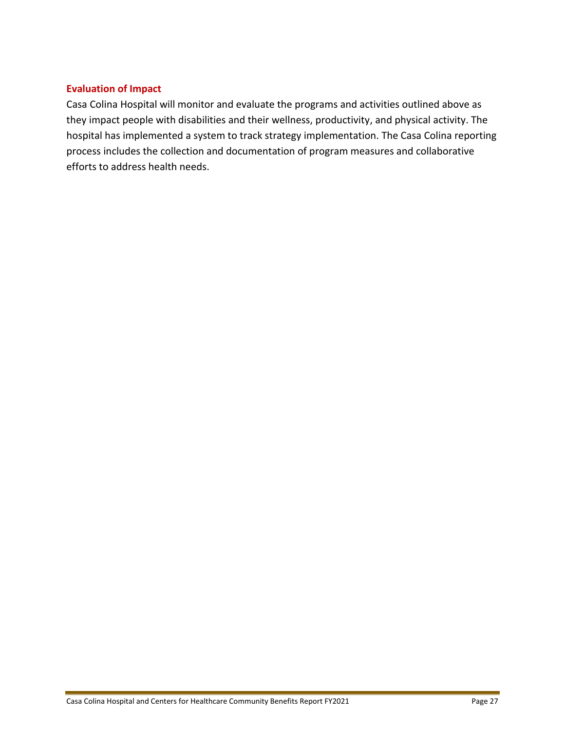## **Evaluation of Impact**

Casa Colina Hospital will monitor and evaluate the programs and activities outlined above as they impact people with disabilities and their wellness, productivity, and physical activity. The hospital has implemented a system to track strategy implementation. The Casa Colina reporting process includes the collection and documentation of program measures and collaborative efforts to address health needs.